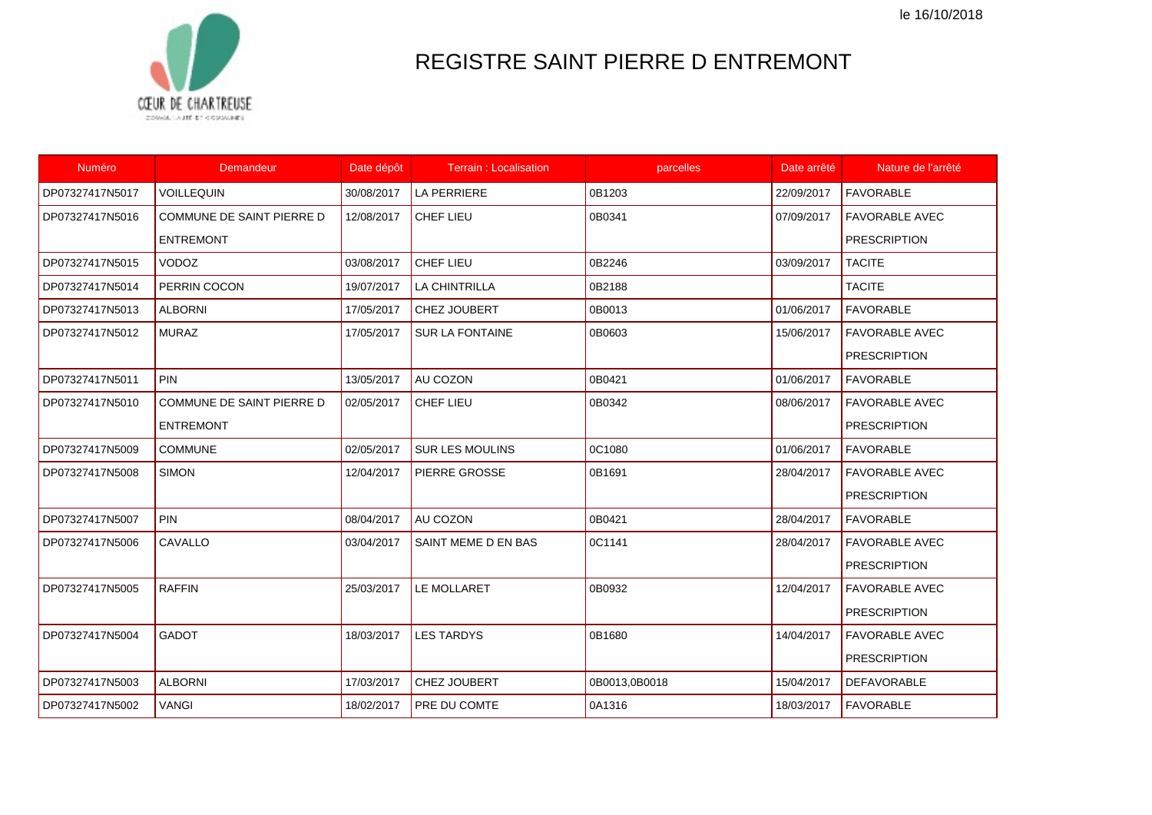le 16/10/2018



## REGISTRE SAINT PIERRE D ENTREMONT

| Numéro          | Demandeur                        | Date dépôt | <b>Terrain: Localisation</b> | parcelles     | Date arrêté | Nature de l'arrêté    |
|-----------------|----------------------------------|------------|------------------------------|---------------|-------------|-----------------------|
| DP07327417N5017 | <b>VOILLEQUIN</b>                | 30/08/2017 | <b>LA PERRIERE</b>           | 0B1203        | 22/09/2017  | <b>FAVORABLE</b>      |
| DP07327417N5016 | <b>COMMUNE DE SAINT PIERRE D</b> | 12/08/2017 | CHEF LIEU                    | 0B0341        | 07/09/2017  | <b>FAVORABLE AVEC</b> |
|                 | <b>ENTREMONT</b>                 |            |                              |               |             | <b>PRESCRIPTION</b>   |
| DP07327417N5015 | <b>VODOZ</b>                     | 03/08/2017 | <b>CHEF LIEU</b>             | 0B2246        | 03/09/2017  | <b>TACITE</b>         |
| DP07327417N5014 | PERRIN COCON                     | 19/07/2017 | <b>LA CHINTRILLA</b>         | 0B2188        |             | <b>TACITE</b>         |
| DP07327417N5013 | <b>ALBORNI</b>                   | 17/05/2017 | CHEZ JOUBERT                 | 0B0013        | 01/06/2017  | <b>FAVORABLE</b>      |
| DP07327417N5012 | <b>MURAZ</b>                     | 17/05/2017 | <b>SUR LA FONTAINE</b>       | 0B0603        | 15/06/2017  | <b>FAVORABLE AVEC</b> |
|                 |                                  |            |                              |               |             | <b>PRESCRIPTION</b>   |
| DP07327417N5011 | <b>PIN</b>                       | 13/05/2017 | AU COZON                     | 0B0421        | 01/06/2017  | <b>FAVORABLE</b>      |
| DP07327417N5010 | COMMUNE DE SAINT PIERRE D        | 02/05/2017 | CHEF LIEU                    | 0B0342        | 08/06/2017  | <b>FAVORABLE AVEC</b> |
|                 | <b>ENTREMONT</b>                 |            |                              |               |             | <b>PRESCRIPTION</b>   |
| DP07327417N5009 | <b>COMMUNE</b>                   | 02/05/2017 | <b>SUR LES MOULINS</b>       | 0C1080        | 01/06/2017  | <b>FAVORABLE</b>      |
| DP07327417N5008 | <b>SIMON</b>                     | 12/04/2017 | <b>PIERRE GROSSE</b>         | 0B1691        | 28/04/2017  | <b>FAVORABLE AVEC</b> |
|                 |                                  |            |                              |               |             | <b>PRESCRIPTION</b>   |
| DP07327417N5007 | <b>PIN</b>                       | 08/04/2017 | AU COZON                     | 0B0421        | 28/04/2017  | <b>FAVORABLE</b>      |
| DP07327417N5006 | CAVALLO                          | 03/04/2017 | SAINT MEME D EN BAS          | 0C1141        | 28/04/2017  | <b>FAVORABLE AVEC</b> |
|                 |                                  |            |                              |               |             | <b>PRESCRIPTION</b>   |
| DP07327417N5005 | <b>RAFFIN</b>                    | 25/03/2017 | LE MOLLARET                  | 0B0932        | 12/04/2017  | <b>FAVORABLE AVEC</b> |
|                 |                                  |            |                              |               |             | <b>PRESCRIPTION</b>   |
| DP07327417N5004 | <b>GADOT</b>                     | 18/03/2017 | <b>LES TARDYS</b>            | 0B1680        | 14/04/2017  | <b>FAVORABLE AVEC</b> |
|                 |                                  |            |                              |               |             | <b>PRESCRIPTION</b>   |
| DP07327417N5003 | <b>ALBORNI</b>                   | 17/03/2017 | CHEZ JOUBERT                 | 0B0013,0B0018 | 15/04/2017  | <b>DEFAVORABLE</b>    |
| DP07327417N5002 | <b>VANGI</b>                     | 18/02/2017 | PRE DU COMTE                 | 0A1316        | 18/03/2017  | <b>FAVORABLE</b>      |